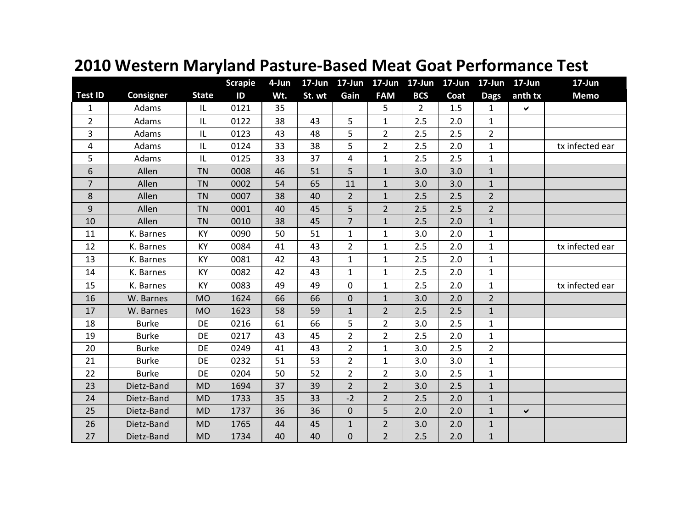|                |              |              | <b>Scrapie</b> | 4-Jun | $17 - Jun$ | 17-Jun           | $17$ -Jun      | 17-Jun 17-Jun  |      | 17-Jun 17-Jun  |         | 17-Jun          |
|----------------|--------------|--------------|----------------|-------|------------|------------------|----------------|----------------|------|----------------|---------|-----------------|
| <b>Test ID</b> | Consigner    | <b>State</b> | ID             | Wt.   | St. wt     | Gain             | <b>FAM</b>     | <b>BCS</b>     | Coat | <b>Dags</b>    | anth tx | <b>Memo</b>     |
| $\mathbf{1}$   | Adams        | IL           | 0121           | 35    |            |                  | 5              | $\overline{2}$ | 1.5  | $\mathbf{1}$   | Ŷ.      |                 |
| $\overline{2}$ | Adams        | IL           | 0122           | 38    | 43         | 5                | $\mathbf{1}$   | 2.5            | 2.0  | $\mathbf{1}$   |         |                 |
| $\overline{3}$ | Adams        | IL           | 0123           | 43    | 48         | 5                | $\overline{2}$ | 2.5            | 2.5  | $\overline{2}$ |         |                 |
| 4              | Adams        | IL           | 0124           | 33    | 38         | 5                | $\overline{2}$ | 2.5            | 2.0  | $\mathbf{1}$   |         | tx infected ear |
| 5              | Adams        | IL           | 0125           | 33    | 37         | 4                | $\mathbf{1}$   | 2.5            | 2.5  | $\mathbf{1}$   |         |                 |
| 6              | Allen        | <b>TN</b>    | 0008           | 46    | 51         | 5                | $\mathbf{1}$   | 3.0            | 3.0  | $\mathbf{1}$   |         |                 |
| $\overline{7}$ | Allen        | <b>TN</b>    | 0002           | 54    | 65         | 11               | $\mathbf{1}$   | 3.0            | 3.0  | $\mathbf{1}$   |         |                 |
| 8              | Allen        | <b>TN</b>    | 0007           | 38    | 40         | $\overline{2}$   | $\mathbf{1}$   | 2.5            | 2.5  | $\overline{2}$ |         |                 |
| $9$            | Allen        | <b>TN</b>    | 0001           | 40    | 45         | 5                | $\overline{2}$ | 2.5            | 2.5  | $\overline{2}$ |         |                 |
| 10             | Allen        | <b>TN</b>    | 0010           | 38    | 45         | $\overline{7}$   | $\mathbf{1}$   | 2.5            | 2.0  | $\mathbf{1}$   |         |                 |
| 11             | K. Barnes    | KY           | 0090           | 50    | 51         | $\mathbf{1}$     | $\mathbf{1}$   | 3.0            | 2.0  | $\mathbf{1}$   |         |                 |
| 12             | K. Barnes    | KY           | 0084           | 41    | 43         | $\overline{2}$   | $\mathbf{1}$   | 2.5            | 2.0  | $\mathbf{1}$   |         | tx infected ear |
| 13             | K. Barnes    | KY           | 0081           | 42    | 43         | $\mathbf{1}$     | $\mathbf{1}$   | 2.5            | 2.0  | $\mathbf{1}$   |         |                 |
| 14             | K. Barnes    | KY           | 0082           | 42    | 43         | $\mathbf{1}$     | $\mathbf{1}$   | 2.5            | 2.0  | $\mathbf{1}$   |         |                 |
| 15             | K. Barnes    | KY           | 0083           | 49    | 49         | $\mathbf 0$      | $\mathbf{1}$   | 2.5            | 2.0  | $\mathbf{1}$   |         | tx infected ear |
| 16             | W. Barnes    | <b>MO</b>    | 1624           | 66    | 66         | $\boldsymbol{0}$ | $\mathbf{1}$   | 3.0            | 2.0  | $\overline{2}$ |         |                 |
| 17             | W. Barnes    | <b>MO</b>    | 1623           | 58    | 59         | $\mathbf{1}$     | $\overline{2}$ | 2.5            | 2.5  | $\mathbf{1}$   |         |                 |
| 18             | <b>Burke</b> | DE           | 0216           | 61    | 66         | 5                | $\overline{2}$ | 3.0            | 2.5  | $\mathbf{1}$   |         |                 |
| 19             | <b>Burke</b> | <b>DE</b>    | 0217           | 43    | 45         | $\overline{2}$   | $\overline{2}$ | 2.5            | 2.0  | $\mathbf{1}$   |         |                 |
| 20             | <b>Burke</b> | DE           | 0249           | 41    | 43         | $\overline{2}$   | $\mathbf{1}$   | 3.0            | 2.5  | $\overline{2}$ |         |                 |
| 21             | <b>Burke</b> | <b>DE</b>    | 0232           | 51    | 53         | $\overline{2}$   | $\mathbf{1}$   | 3.0            | 3.0  | $\mathbf{1}$   |         |                 |
| 22             | <b>Burke</b> | DE           | 0204           | 50    | 52         | $\overline{2}$   | $\overline{2}$ | 3.0            | 2.5  | $\mathbf{1}$   |         |                 |
| 23             | Dietz-Band   | <b>MD</b>    | 1694           | 37    | 39         | $\overline{2}$   | $\overline{2}$ | 3.0            | 2.5  | $\mathbf{1}$   |         |                 |
| 24             | Dietz-Band   | <b>MD</b>    | 1733           | 35    | 33         | $-2$             | $\overline{2}$ | 2.5            | 2.0  | $\mathbf{1}$   |         |                 |
| 25             | Dietz-Band   | <b>MD</b>    | 1737           | 36    | 36         | $\bf 0$          | 5              | 2.0            | 2.0  | $\mathbf{1}$   | ✓       |                 |
| 26             | Dietz-Band   | <b>MD</b>    | 1765           | 44    | 45         | $\mathbf{1}$     | $\overline{2}$ | 3.0            | 2.0  | $\mathbf{1}$   |         |                 |
| 27             | Dietz-Band   | <b>MD</b>    | 1734           | 40    | 40         | $\mathbf 0$      | $\overline{2}$ | 2.5            | 2.0  | $\mathbf{1}$   |         |                 |

## **2010 Western Maryland Pasture-Based Meat Goat Performance Test**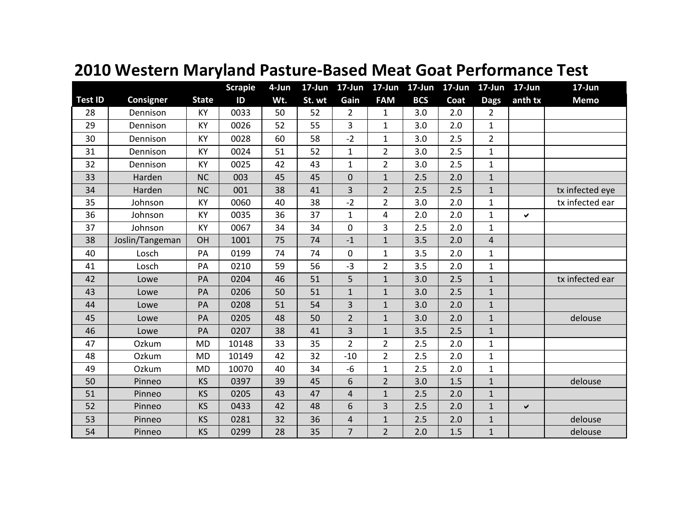|                |                  |              | <b>Scrapie</b> | 4-Jun | $17 - Jun$ | $17$ -Jun      | $17 - Jun$     |            | 17-Jun 17-Jun | $17 - Jun$     | 17-Jun       | 17-Jun          |
|----------------|------------------|--------------|----------------|-------|------------|----------------|----------------|------------|---------------|----------------|--------------|-----------------|
| <b>Test ID</b> | <b>Consigner</b> | <b>State</b> | ID             | Wt.   | St. wt     | Gain           | <b>FAM</b>     | <b>BCS</b> | Coat          | <b>Dags</b>    | anth tx      | <b>Memo</b>     |
| 28             | Dennison         | KY           | 0033           | 50    | 52         | $\overline{2}$ | 1              | 3.0        | 2.0           | $\overline{2}$ |              |                 |
| 29             | Dennison         | KY           | 0026           | 52    | 55         | $\overline{3}$ | $\mathbf{1}$   | 3.0        | 2.0           | $\mathbf{1}$   |              |                 |
| 30             | Dennison         | KY           | 0028           | 60    | 58         | $-2$           | $\mathbf{1}$   | 3.0        | 2.5           | $\overline{2}$ |              |                 |
| 31             | Dennison         | KY           | 0024           | 51    | 52         | $\mathbf{1}$   | $\overline{2}$ | 3.0        | 2.5           | $\mathbf{1}$   |              |                 |
| 32             | Dennison         | KY           | 0025           | 42    | 43         | $\mathbf{1}$   | $\overline{2}$ | 3.0        | 2.5           | $\mathbf{1}$   |              |                 |
| 33             | Harden           | <b>NC</b>    | 003            | 45    | 45         | $\pmb{0}$      | $\mathbf{1}$   | 2.5        | 2.0           | $\mathbf{1}$   |              |                 |
| 34             | Harden           | <b>NC</b>    | 001            | 38    | 41         | 3              | $\overline{2}$ | 2.5        | 2.5           | $\mathbf{1}$   |              | tx infected eye |
| 35             | Johnson          | KY           | 0060           | 40    | 38         | $-2$           | $\overline{2}$ | 3.0        | 2.0           | $\mathbf{1}$   |              | tx infected ear |
| 36             | Johnson          | KY           | 0035           | 36    | 37         | $\mathbf{1}$   | 4              | 2.0        | 2.0           | $\mathbf{1}$   | ✔            |                 |
| 37             | Johnson          | KY           | 0067           | 34    | 34         | $\mathbf 0$    | 3              | 2.5        | 2.0           | $\mathbf{1}$   |              |                 |
| 38             | Joslin/Tangeman  | OH           | 1001           | 75    | 74         | $-1$           | $\mathbf{1}$   | 3.5        | 2.0           | $\overline{4}$ |              |                 |
| 40             | Losch            | PA           | 0199           | 74    | 74         | $\pmb{0}$      | $\mathbf{1}$   | 3.5        | 2.0           | $\mathbf{1}$   |              |                 |
| 41             | Losch            | PA           | 0210           | 59    | 56         | $-3$           | $\overline{2}$ | 3.5        | 2.0           | $\mathbf{1}$   |              |                 |
| 42             | Lowe             | PA           | 0204           | 46    | 51         | 5              | $\mathbf{1}$   | 3.0        | 2.5           | $\mathbf{1}$   |              | tx infected ear |
| 43             | Lowe             | PA           | 0206           | 50    | 51         | $\mathbf 1$    | $\mathbf 1$    | 3.0        | 2.5           | $\mathbf 1$    |              |                 |
| 44             | Lowe             | PA           | 0208           | 51    | 54         | 3              | $\mathbf{1}$   | 3.0        | 2.0           | $\mathbf{1}$   |              |                 |
| 45             | Lowe             | PA           | 0205           | 48    | 50         | $\overline{2}$ | $\mathbf{1}$   | 3.0        | 2.0           | $\mathbf 1$    |              | delouse         |
| 46             | Lowe             | PA           | 0207           | 38    | 41         | 3              | $\mathbf{1}$   | 3.5        | 2.5           | $\mathbf{1}$   |              |                 |
| 47             | Ozkum            | <b>MD</b>    | 10148          | 33    | 35         | $\overline{2}$ | $\overline{2}$ | 2.5        | 2.0           | $\mathbf{1}$   |              |                 |
| 48             | Ozkum            | <b>MD</b>    | 10149          | 42    | 32         | $-10$          | $\overline{2}$ | 2.5        | 2.0           | $\mathbf{1}$   |              |                 |
| 49             | Ozkum            | <b>MD</b>    | 10070          | 40    | 34         | $-6$           | $\mathbf 1$    | 2.5        | 2.0           | $\mathbf{1}$   |              |                 |
| 50             | Pinneo           | <b>KS</b>    | 0397           | 39    | 45         | 6              | $\overline{2}$ | 3.0        | 1.5           | $\mathbf{1}$   |              | delouse         |
| 51             | Pinneo           | KS           | 0205           | 43    | 47         | $\overline{4}$ | $\mathbf{1}$   | 2.5        | 2.0           | $\mathbf{1}$   |              |                 |
| 52             | Pinneo           | KS           | 0433           | 42    | 48         | 6              | 3              | 2.5        | 2.0           | $\mathbf{1}$   | $\checkmark$ |                 |
| 53             | Pinneo           | KS           | 0281           | 32    | 36         | $\overline{4}$ | $\mathbf{1}$   | 2.5        | 2.0           | $\mathbf{1}$   |              | delouse         |
| 54             | Pinneo           | KS           | 0299           | 28    | 35         | $\overline{7}$ | $\overline{2}$ | 2.0        | 1.5           | $\mathbf 1$    |              | delouse         |

## **2010 Western Maryland Pasture-Based Meat Goat Performance Test**